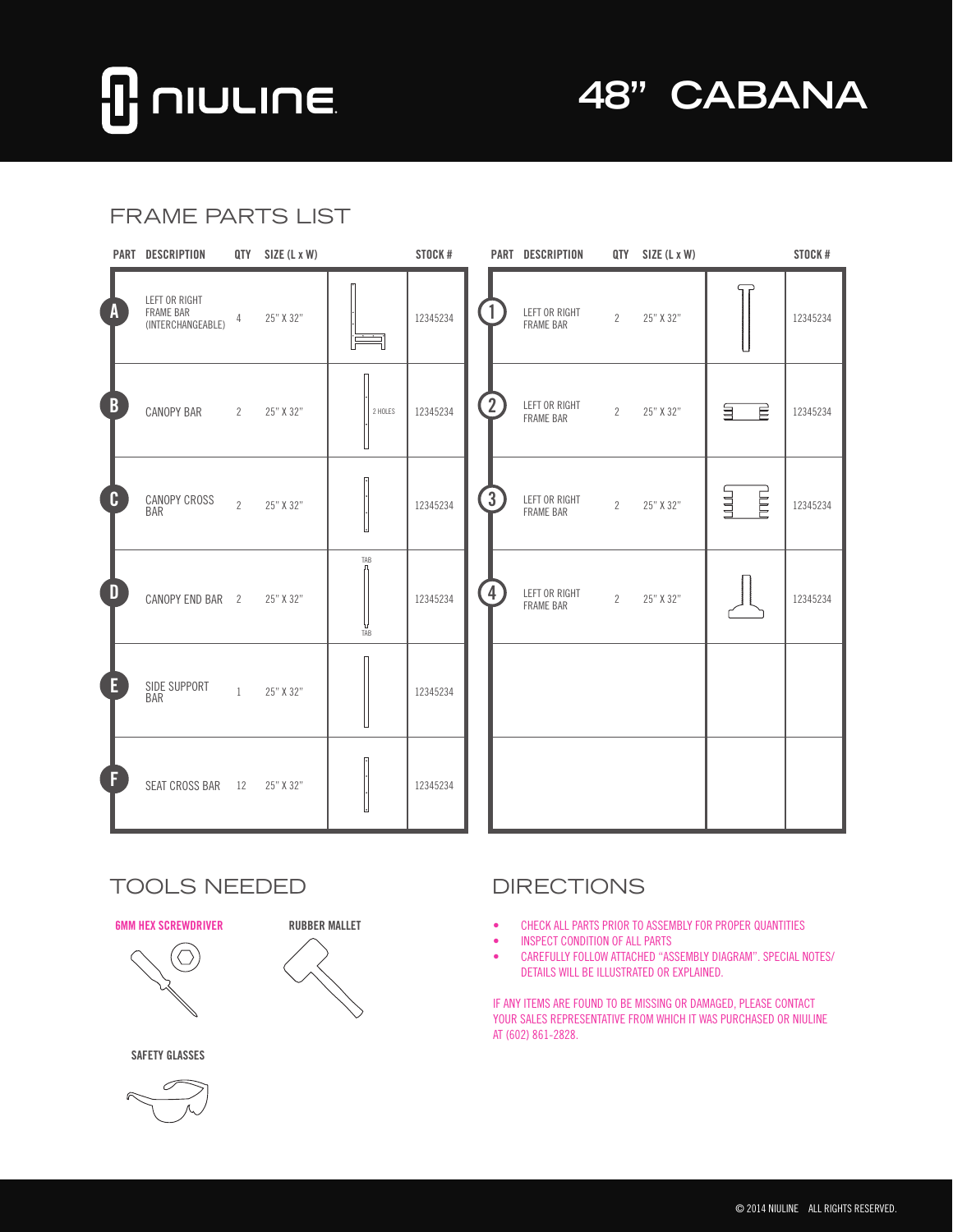# **NIULINE**

**48" CABANA**

### FRAME PARTS LIST

|                         | PART DESCRIPTION                                |                | QTY SIZE (L x W) |            | STOCK #  |                         | PART DESCRIPTION                  |                | QTY SIZE (L x W) |         | STOCK#   |
|-------------------------|-------------------------------------------------|----------------|------------------|------------|----------|-------------------------|-----------------------------------|----------------|------------------|---------|----------|
| $\mathbf{A}$            | LEFT OR RIGHT<br>FRAME BAR<br>(INTERCHANGEABLE) | 4              | 25" X 32"        |            | 12345234 |                         | LEFT OR RIGHT<br><b>FRAME BAR</b> | $\mathbf{2}$   | 25" X 32"        |         | 12345234 |
| $\overline{B}$          | CANOPY BAR                                      | $2^{\circ}$    | 25" X 32"        | 2 HOLES    | 12345234 | $\overline{2}$          | LEFT OR RIGHT<br><b>FRAME BAR</b> | $\mathbf{2}$   | 25" X 32"        | È<br>旨  | 12345234 |
| $\mathbf{C}$            | CANOPY CROSS<br><b>BAR</b>                      | $\overline{2}$ | 25" X 32"        |            | 12345234 | $\left[3\right]$        | LEFT OR RIGHT<br><b>FRAME BAR</b> | $\overline{2}$ | 25" X 32"        | E<br>山山 | 12345234 |
| $\overline{\mathbf{D}}$ | CANOPY END BAR 2                                |                | 25" X 32"        | TAB<br>TÃB | 12345234 | $\overline{\mathbf{4}}$ | LEFT OR RIGHT<br><b>FRAME BAR</b> | $\overline{2}$ | 25" X 32"        |         | 12345234 |
| E                       | SIDE SUPPORT<br><b>BAR</b>                      | $\mathbf{1}$   | 25" X 32"        |            | 12345234 |                         |                                   |                |                  |         |          |
| F                       | SEAT CROSS BAR                                  | 12             | 25" X 32"        |            | 12345234 |                         |                                   |                |                  |         |          |

#### TOOLS NEEDED DIRECTIONS

#### **6MM HEX SCREWDRIVER RUBBER MALLET**





**SAFETY GLASSES**



- • CHECK ALL PARTS PRIOR TO ASSEMBLY FOR PROPER QUANTITIES
- • INSPECT CONDITION OF ALL PARTS
- • CAREFULLY FOLLOW ATTACHED "ASSEMBLY DIAGRAM". SPECIAL NOTES/ DETAILS WILL BE ILLUSTRATED OR EXPLAINED.

IF ANY ITEMS ARE FOUND TO BE MISSING OR DAMAGED, PLEASE CONTACT YOUR SALES REPRESENTATIVE FROM WHICH IT WAS PURCHASED OR NIULINE AT (602) 861-2828.